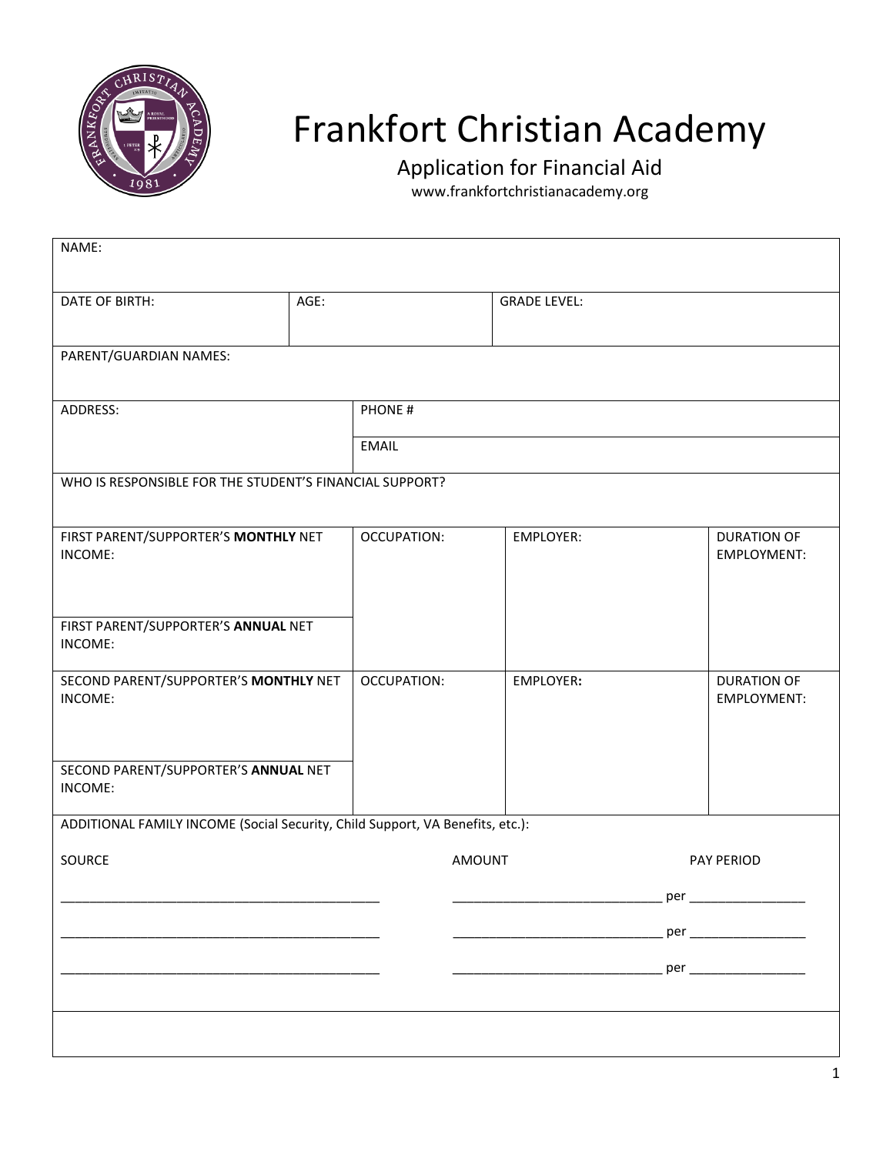

## Frankfort Christian Academy

Application for Financial Aid

www.frankfortchristianacademy.org

| NAME:                                                                         |      |                    |                      |                     |                                 |                                   |  |
|-------------------------------------------------------------------------------|------|--------------------|----------------------|---------------------|---------------------------------|-----------------------------------|--|
| DATE OF BIRTH:                                                                | AGE: |                    |                      | <b>GRADE LEVEL:</b> |                                 |                                   |  |
| PARENT/GUARDIAN NAMES:                                                        |      |                    |                      |                     |                                 |                                   |  |
| ADDRESS:                                                                      |      | PHONE#             |                      |                     |                                 |                                   |  |
|                                                                               |      | <b>EMAIL</b>       |                      |                     |                                 |                                   |  |
| WHO IS RESPONSIBLE FOR THE STUDENT'S FINANCIAL SUPPORT?                       |      |                    |                      |                     |                                 |                                   |  |
| FIRST PARENT/SUPPORTER'S MONTHLY NET<br>INCOME:                               |      | <b>OCCUPATION:</b> |                      | <b>EMPLOYER:</b>    |                                 | <b>DURATION OF</b><br>EMPLOYMENT: |  |
| FIRST PARENT/SUPPORTER'S ANNUAL NET<br>INCOME:                                |      |                    |                      |                     |                                 |                                   |  |
| SECOND PARENT/SUPPORTER'S MONTHLY NET<br>INCOME:                              |      | <b>OCCUPATION:</b> |                      | EMPLOYER:           |                                 | <b>DURATION OF</b><br>EMPLOYMENT: |  |
| SECOND PARENT/SUPPORTER'S ANNUAL NET<br>INCOME:                               |      |                    |                      |                     |                                 |                                   |  |
| ADDITIONAL FAMILY INCOME (Social Security, Child Support, VA Benefits, etc.): |      |                    |                      |                     |                                 |                                   |  |
| SOURCE                                                                        |      | <b>AMOUNT</b>      |                      | PAY PERIOD          |                                 |                                   |  |
|                                                                               |      |                    |                      |                     | $per$ <sub><math>-</math></sub> |                                   |  |
|                                                                               |      |                    |                      |                     |                                 |                                   |  |
|                                                                               |      |                    | $per$ <sub>___</sub> |                     |                                 |                                   |  |
|                                                                               |      |                    |                      |                     |                                 |                                   |  |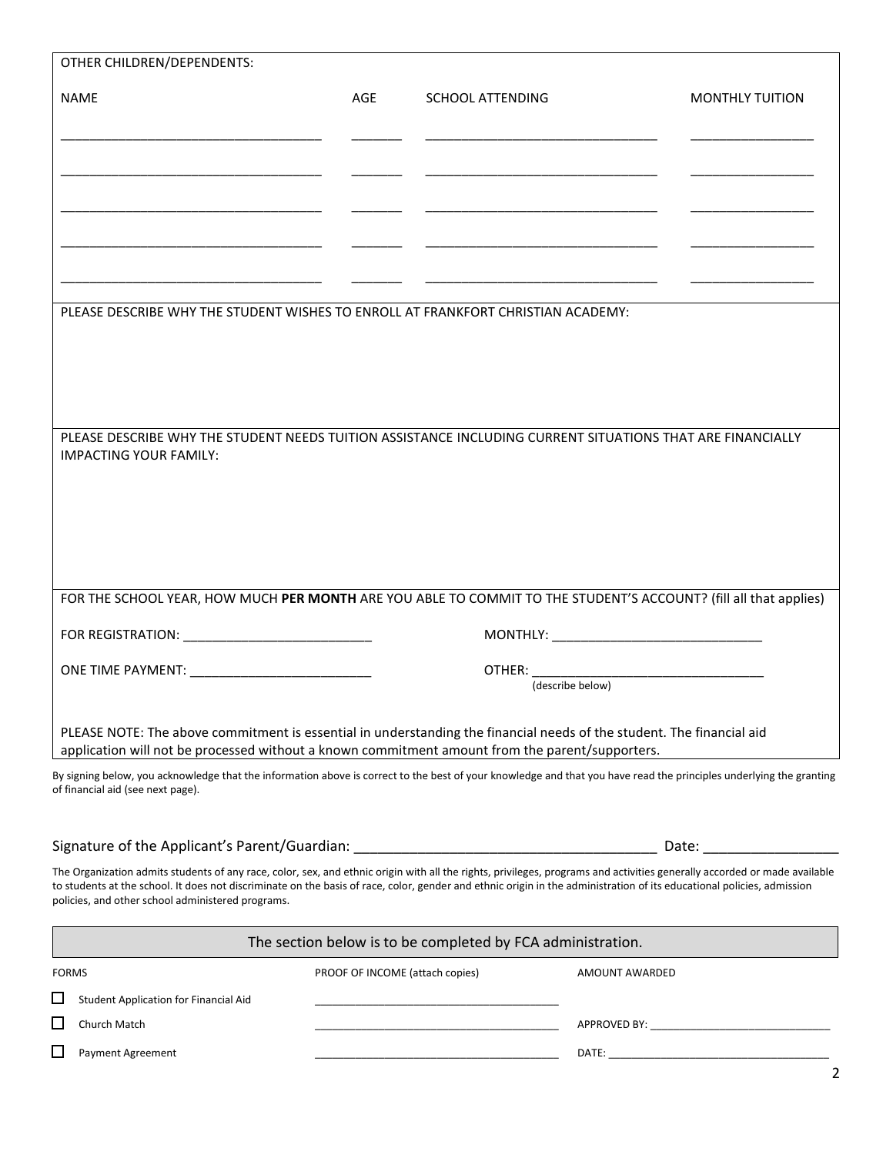| <b>NAME</b>                                                                                                                                                                                                                                                                                                                                                                                              | AGE                             | <b>SCHOOL ATTENDING</b>                                                                                              |                                                                                                                            | <b>MONTHLY TUITION</b>                                                                                         |  |
|----------------------------------------------------------------------------------------------------------------------------------------------------------------------------------------------------------------------------------------------------------------------------------------------------------------------------------------------------------------------------------------------------------|---------------------------------|----------------------------------------------------------------------------------------------------------------------|----------------------------------------------------------------------------------------------------------------------------|----------------------------------------------------------------------------------------------------------------|--|
|                                                                                                                                                                                                                                                                                                                                                                                                          |                                 |                                                                                                                      |                                                                                                                            |                                                                                                                |  |
|                                                                                                                                                                                                                                                                                                                                                                                                          |                                 |                                                                                                                      |                                                                                                                            |                                                                                                                |  |
|                                                                                                                                                                                                                                                                                                                                                                                                          |                                 |                                                                                                                      |                                                                                                                            |                                                                                                                |  |
|                                                                                                                                                                                                                                                                                                                                                                                                          |                                 |                                                                                                                      |                                                                                                                            |                                                                                                                |  |
| PLEASE DESCRIBE WHY THE STUDENT WISHES TO ENROLL AT FRANKFORT CHRISTIAN ACADEMY:                                                                                                                                                                                                                                                                                                                         |                                 |                                                                                                                      | <u> 1989 - Johann John Stone, market fan de Amerikaanske kommunister fan de Amerikaanske kommunister fan de Amerikaans</u> |                                                                                                                |  |
|                                                                                                                                                                                                                                                                                                                                                                                                          |                                 |                                                                                                                      |                                                                                                                            |                                                                                                                |  |
|                                                                                                                                                                                                                                                                                                                                                                                                          |                                 |                                                                                                                      |                                                                                                                            |                                                                                                                |  |
|                                                                                                                                                                                                                                                                                                                                                                                                          |                                 |                                                                                                                      |                                                                                                                            |                                                                                                                |  |
| PLEASE DESCRIBE WHY THE STUDENT NEEDS TUITION ASSISTANCE INCLUDING CURRENT SITUATIONS THAT ARE FINANCIALLY<br><b>IMPACTING YOUR FAMILY:</b>                                                                                                                                                                                                                                                              |                                 |                                                                                                                      |                                                                                                                            |                                                                                                                |  |
|                                                                                                                                                                                                                                                                                                                                                                                                          |                                 |                                                                                                                      |                                                                                                                            |                                                                                                                |  |
|                                                                                                                                                                                                                                                                                                                                                                                                          |                                 |                                                                                                                      |                                                                                                                            |                                                                                                                |  |
|                                                                                                                                                                                                                                                                                                                                                                                                          |                                 |                                                                                                                      |                                                                                                                            |                                                                                                                |  |
| FOR THE SCHOOL YEAR, HOW MUCH PER MONTH ARE YOU ABLE TO COMMIT TO THE STUDENT'S ACCOUNT? (fill all that applies)                                                                                                                                                                                                                                                                                         |                                 |                                                                                                                      |                                                                                                                            |                                                                                                                |  |
| FOR REGISTRATION: ________________________________                                                                                                                                                                                                                                                                                                                                                       |                                 |                                                                                                                      |                                                                                                                            |                                                                                                                |  |
|                                                                                                                                                                                                                                                                                                                                                                                                          |                                 |                                                                                                                      |                                                                                                                            |                                                                                                                |  |
|                                                                                                                                                                                                                                                                                                                                                                                                          | (describe below)                |                                                                                                                      |                                                                                                                            |                                                                                                                |  |
| PLEASE NOTE: The above commitment is essential in understanding the financial needs of the student. The financial aid<br>application will not be processed without a known commitment amount from the parent/supporters.                                                                                                                                                                                 |                                 |                                                                                                                      |                                                                                                                            |                                                                                                                |  |
| By signing below, you acknowledge that the information above is correct to the best of your knowledge and that you have read the principles underlying the granting<br>of financial aid (see next page).                                                                                                                                                                                                 |                                 |                                                                                                                      |                                                                                                                            |                                                                                                                |  |
| Signature of the Applicant's Parent/Guardian: __________________________________                                                                                                                                                                                                                                                                                                                         |                                 |                                                                                                                      |                                                                                                                            | Date: and the state of the state of the state of the state of the state of the state of the state of the state |  |
| The Organization admits students of any race, color, sex, and ethnic origin with all the rights, privileges, programs and activities generally accorded or made available<br>to students at the school. It does not discriminate on the basis of race, color, gender and ethnic origin in the administration of its educational policies, admission<br>policies, and other school administered programs. |                                 |                                                                                                                      |                                                                                                                            |                                                                                                                |  |
|                                                                                                                                                                                                                                                                                                                                                                                                          |                                 | The section below is to be completed by FCA administration.                                                          |                                                                                                                            |                                                                                                                |  |
| <b>FORMS</b>                                                                                                                                                                                                                                                                                                                                                                                             | PROOF OF INCOME (attach copies) |                                                                                                                      | AMOUNT AWARDED                                                                                                             |                                                                                                                |  |
| ⊔<br>Student Application for Financial Aid                                                                                                                                                                                                                                                                                                                                                               |                                 |                                                                                                                      |                                                                                                                            |                                                                                                                |  |
| ⊔<br>Church Match                                                                                                                                                                                                                                                                                                                                                                                        |                                 |                                                                                                                      |                                                                                                                            |                                                                                                                |  |
| ⊔<br>Payment Agreement                                                                                                                                                                                                                                                                                                                                                                                   |                                 | <u> 1989 - Johann Barn, mars eta bat erroman erroman erroman erroman erroman erroman erroman erroman erroman err</u> |                                                                                                                            |                                                                                                                |  |

OTHER CHILDREN/DEPENDENTS: